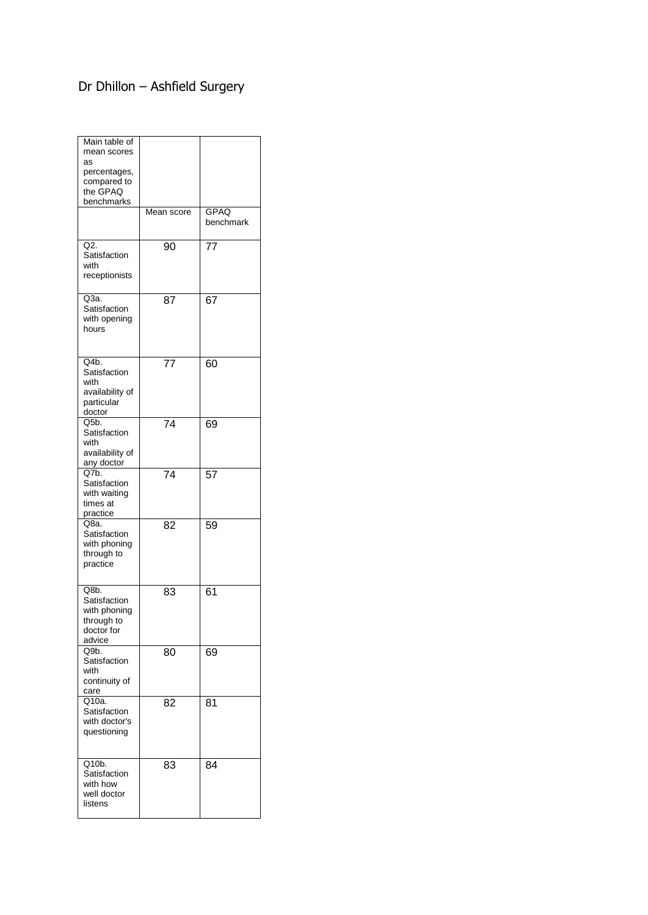## Dr Dhillon – Ashfield Surgery

| Main table of<br>mean scores<br>as<br>percentages,<br>compared to<br>the GPAQ<br>benchmarks |            |                   |
|---------------------------------------------------------------------------------------------|------------|-------------------|
|                                                                                             | Mean score | GPAQ<br>benchmark |
| Q2.<br>Satisfaction<br>with<br>receptionists                                                | 90         | 77                |
| Q3a.<br>Satisfaction<br>with opening<br>hours                                               | 87         | 67                |
| Q4b.<br>Satisfaction<br>with<br>availability of<br>particular<br>doctor                     | 77         | 60                |
| Q5b.<br>Satisfaction<br>with<br>availability of<br>any doctor                               | 74         | 69                |
| Q7b.<br>Satisfaction<br>with waiting<br>times at<br>practice                                | 74         | 57                |
| Q8a.<br>Satisfaction<br>with phoning<br>through to<br>practice                              | 82         | 59                |
| Q8b.<br>Satisfaction<br>with phoning<br>through to<br>doctor for<br>advice                  | 83         | 61                |
| Q9b.<br>Satisfaction<br>with<br>continuity of<br>care                                       | 80         | 69                |
| Q10a.<br>Satisfaction<br>with doctor's<br>questioning                                       | 82         | 81                |
| Q10b.<br>Satisfaction<br>with how<br>well doctor<br>listens                                 | 83         | 84                |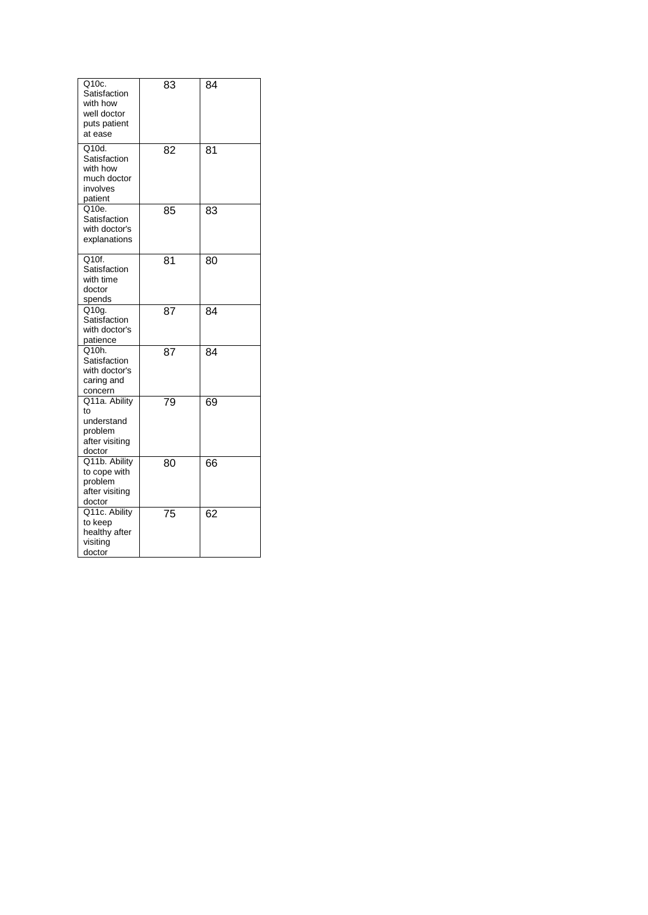| Q10c.<br>Satisfaction<br>with how<br>well doctor<br>puts patient<br>at ease | 83 | 84 |
|-----------------------------------------------------------------------------|----|----|
| Q10d.<br>Satisfaction<br>with how<br>much doctor<br>involves<br>patient     | 82 | 81 |
| Q10e.<br>Satisfaction<br>with doctor's<br>explanations                      | 85 | 83 |
| $\overline{Q10f}$ .<br>Satisfaction<br>with time<br>doctor<br>spends        | 81 | 80 |
| Q10g.<br>Satisfaction<br>with doctor's<br>patience                          | 87 | 84 |
| Q10h.<br>Satisfaction<br>with doctor's<br>caring and<br>concern             | 87 | 84 |
| Q11a. Ability<br>to<br>understand<br>problem<br>after visiting<br>doctor    | 79 | 69 |
| Q11b. Ability<br>to cope with<br>problem<br>after visiting<br>doctor        | 80 | 66 |
| Q11c. Ability<br>to keep<br>healthy after<br>visiting<br>doctor             | 75 | 62 |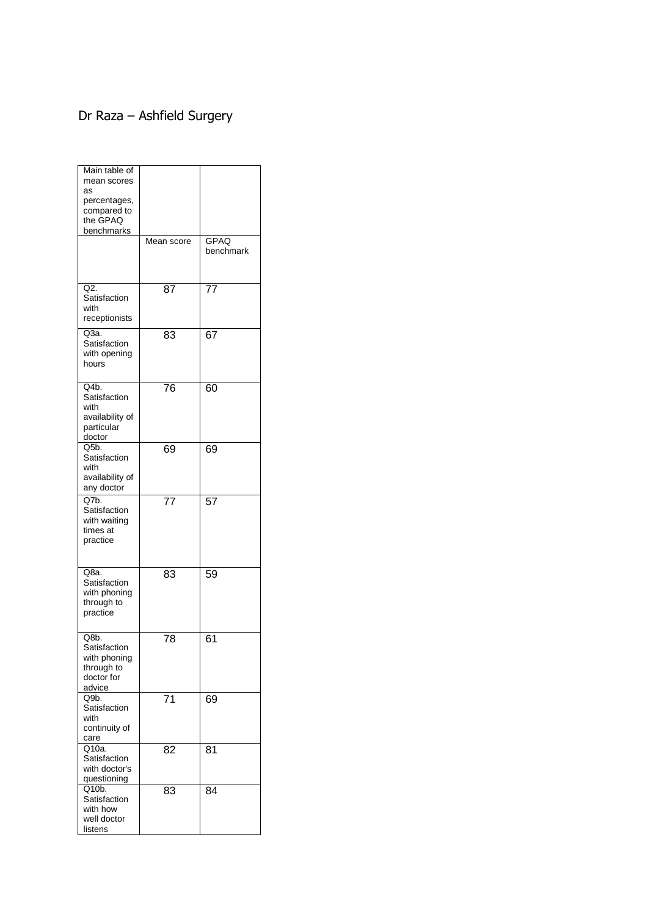## Dr Raza – Ashfield Surgery

| Main table of<br>mean scores<br>as<br>percentages,<br>compared to<br>the GPAQ<br>benchmarks |            |                          |
|---------------------------------------------------------------------------------------------|------------|--------------------------|
|                                                                                             | Mean score | <b>GPAQ</b><br>benchmark |
| Q2.<br>Satisfaction<br>with<br>receptionists                                                | 87         | 77                       |
| $Q3a$ .<br>Satisfaction<br>with opening<br>hours                                            | 83         | 67                       |
| Q4b.<br>Satisfaction<br>with<br>availability of<br>particular<br>doctor                     | 76         | 60                       |
| O5 <sub>b</sub><br>Satisfaction<br>with<br>availability of<br>any doctor                    | 69         | 69                       |
| Q7b.<br>Satisfaction<br>with waiting<br>times at<br>practice                                | 77         | 57                       |
| Q8a.<br>Satisfaction<br>with phoning<br>through to<br>practice                              | 83         | 59                       |
| Q8b.<br>Satisfaction<br>with phoning<br>through to<br>doctor for<br>advice                  | 78         | 61                       |
| Q9 <sub>b</sub><br>Satisfaction<br>with<br>continuity of<br>care                            | 71         | 69                       |
| Q10a.<br>Satisfaction<br>with doctor's<br>questioning                                       | 82         | 81                       |
| Q10b.<br>Satisfaction<br>with how<br>well doctor<br>listens                                 | 83         | 84                       |